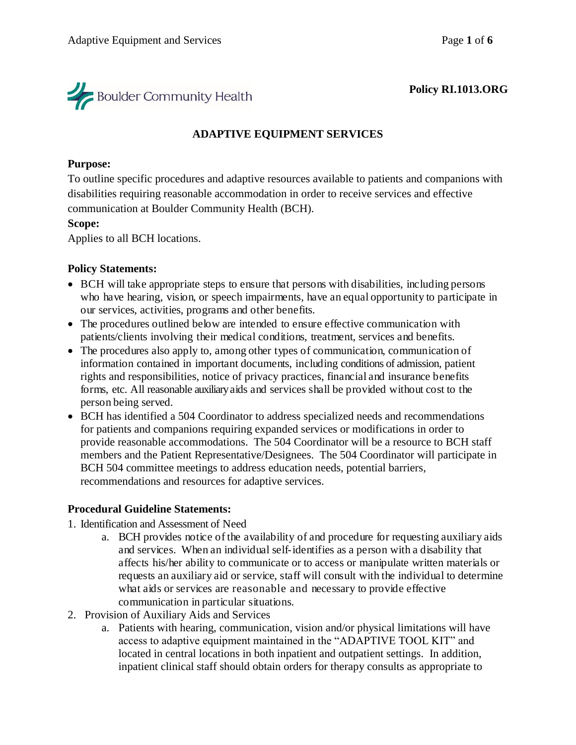

## **Policy RI.1013.ORG**

# **ADAPTIVE EQUIPMENT SERVICES**

#### **Purpose:**

To outline specific procedures and adaptive resources available to patients and companions with disabilities requiring reasonable accommodation in order to receive services and effective communication at Boulder Community Health (BCH).

### **Scope:**

Applies to all BCH locations.

### **Policy Statements:**

- BCH will take appropriate steps to ensure that persons with disabilities, including persons who have hearing, vision, or speech impairments, have an equal opportunity to participate in our services, activities, programs and other benefits.
- The procedures outlined below are intended to ensure effective communication with patients/clients involving their medical conditions, treatment, services and benefits.
- The procedures also apply to, among other types of communication, communication of information contained in important documents, including conditions of admission, patient rights and responsibilities, notice of privacy practices, financial and insurance benefits forms, etc. All reasonable auxiliaryaids and services shall be provided without cost to the person being served.
- BCH has identified a 504 Coordinator to address specialized needs and recommendations for patients and companions requiring expanded services or modifications in order to provide reasonable accommodations. The 504 Coordinator will be a resource to BCH staff members and the Patient Representative/Designees. The 504 Coordinator will participate in BCH 504 committee meetings to address education needs, potential barriers, recommendations and resources for adaptive services.

## **Procedural Guideline Statements:**

- 1. Identification and Assessment of Need
	- a. BCH provides notice of the availability of and procedure for requesting auxiliary aids and services. When an individual self-identifies as a person with a disability that affects his/her ability to communicate or to access or manipulate written materials or requests an auxiliary aid or service, staff will consult with the individual to determine what aids or services are reasonable and necessary to provide effective communication in particular situations.
- 2. Provision of Auxiliary Aids and Services
	- a. Patients with hearing, communication, vision and/or physical limitations will have access to adaptive equipment maintained in the "ADAPTIVE TOOL KIT" and located in central locations in both inpatient and outpatient settings. In addition, inpatient clinical staff should obtain orders for therapy consults as appropriate to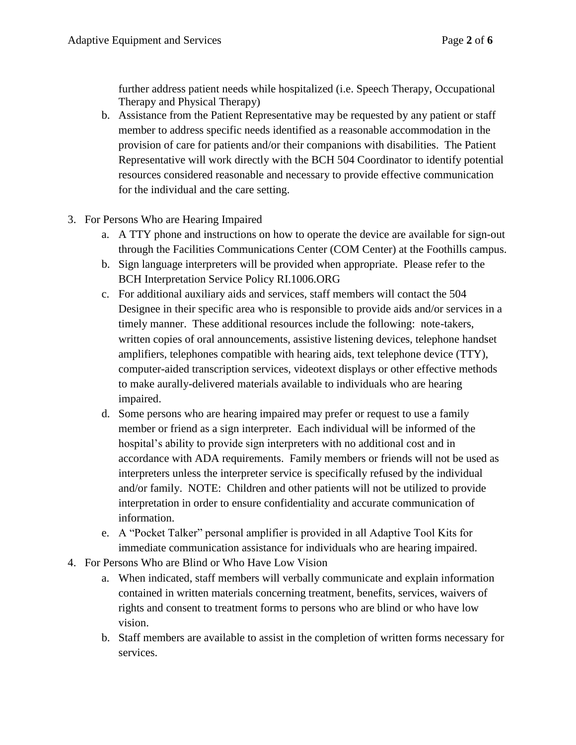further address patient needs while hospitalized (i.e. Speech Therapy, Occupational Therapy and Physical Therapy)

- b. Assistance from the Patient Representative may be requested by any patient or staff member to address specific needs identified as a reasonable accommodation in the provision of care for patients and/or their companions with disabilities. The Patient Representative will work directly with the BCH 504 Coordinator to identify potential resources considered reasonable and necessary to provide effective communication for the individual and the care setting.
- 3. For Persons Who are Hearing Impaired
	- a. A TTY phone and instructions on how to operate the device are available for sign-out through the Facilities Communications Center (COM Center) at the Foothills campus.
	- b. Sign language interpreters will be provided when appropriate. Please refer to the BCH Interpretation Service Policy RI.1006.ORG
	- c. For additional auxiliary aids and services, staff members will contact the 504 Designee in their specific area who is responsible to provide aids and/or services in a timely manner. These additional resources include the following: note-takers, written copies of oral announcements, assistive listening devices, telephone handset amplifiers, telephones compatible with hearing aids, text telephone device (TTY), computer-aided transcription services, videotext displays or other effective methods to make aurally-delivered materials available to individuals who are hearing impaired.
	- d. Some persons who are hearing impaired may prefer or request to use a family member or friend as a sign interpreter. Each individual will be informed of the hospital's ability to provide sign interpreters with no additional cost and in accordance with ADA requirements. Family members or friends will not be used as interpreters unless the interpreter service is specifically refused by the individual and/or family. NOTE: Children and other patients will not be utilized to provide interpretation in order to ensure confidentiality and accurate communication of information.
	- e. A "Pocket Talker" personal amplifier is provided in all Adaptive Tool Kits for immediate communication assistance for individuals who are hearing impaired.
- 4. For Persons Who are Blind or Who Have Low Vision
	- a. When indicated, staff members will verbally communicate and explain information contained in written materials concerning treatment, benefits, services, waivers of rights and consent to treatment forms to persons who are blind or who have low vision.
	- b. Staff members are available to assist in the completion of written forms necessary for services.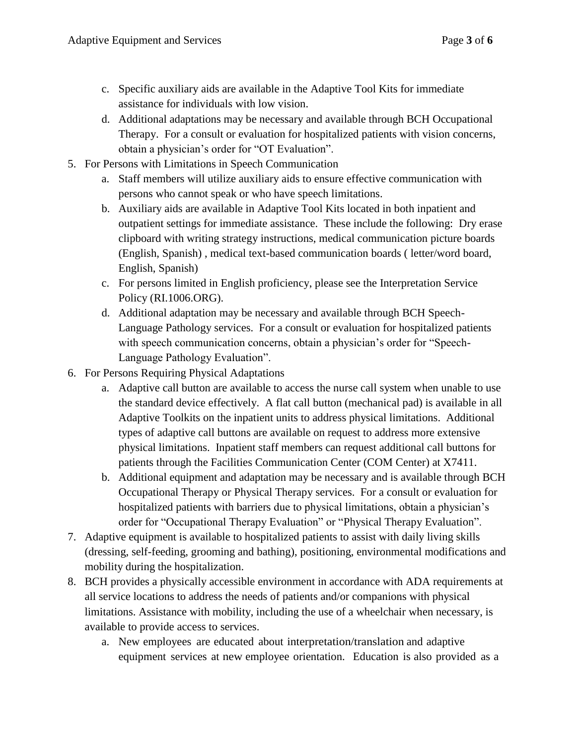- c. Specific auxiliary aids are available in the Adaptive Tool Kits for immediate assistance for individuals with low vision.
- d. Additional adaptations may be necessary and available through BCH Occupational Therapy. For a consult or evaluation for hospitalized patients with vision concerns, obtain a physician's order for "OT Evaluation".
- 5. For Persons with Limitations in Speech Communication
	- a. Staff members will utilize auxiliary aids to ensure effective communication with persons who cannot speak or who have speech limitations.
	- b. Auxiliary aids are available in Adaptive Tool Kits located in both inpatient and outpatient settings for immediate assistance. These include the following: Dry erase clipboard with writing strategy instructions, medical communication picture boards (English, Spanish) , medical text-based communication boards ( letter/word board, English, Spanish)
	- c. For persons limited in English proficiency, please see the Interpretation Service Policy (RI.1006.ORG).
	- d. Additional adaptation may be necessary and available through BCH Speech-Language Pathology services. For a consult or evaluation for hospitalized patients with speech communication concerns, obtain a physician's order for "Speech-Language Pathology Evaluation".
- 6. For Persons Requiring Physical Adaptations
	- a. Adaptive call button are available to access the nurse call system when unable to use the standard device effectively. A flat call button (mechanical pad) is available in all Adaptive Toolkits on the inpatient units to address physical limitations. Additional types of adaptive call buttons are available on request to address more extensive physical limitations. Inpatient staff members can request additional call buttons for patients through the Facilities Communication Center (COM Center) at X7411.
	- b. Additional equipment and adaptation may be necessary and is available through BCH Occupational Therapy or Physical Therapy services. For a consult or evaluation for hospitalized patients with barriers due to physical limitations, obtain a physician's order for "Occupational Therapy Evaluation" or "Physical Therapy Evaluation".
- 7. Adaptive equipment is available to hospitalized patients to assist with daily living skills (dressing, self-feeding, grooming and bathing), positioning, environmental modifications and mobility during the hospitalization.
- 8. BCH provides a physically accessible environment in accordance with ADA requirements at all service locations to address the needs of patients and/or companions with physical limitations. Assistance with mobility, including the use of a wheelchair when necessary, is available to provide access to services.
	- a. New employees are educated about interpretation/translation and adaptive equipment services at new employee orientation. Education is also provided as a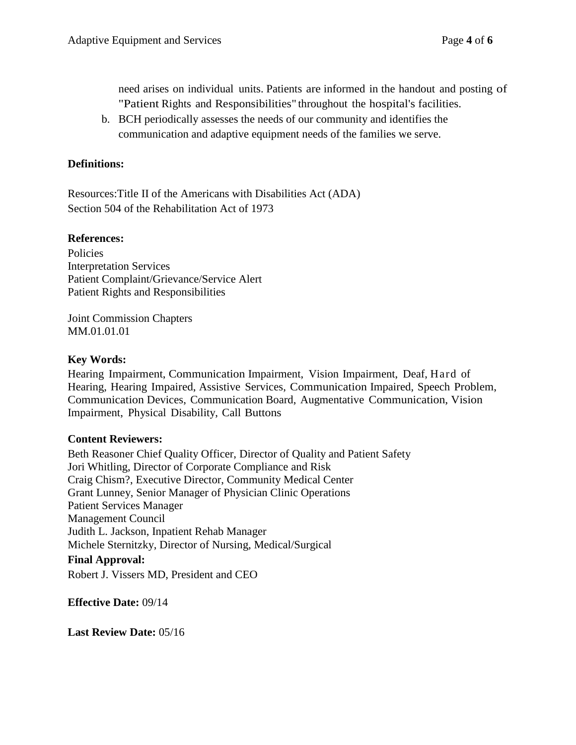need arises on individual units. Patients are informed in the handout and posting of "Patient Rights and Responsibilities" throughout the hospital's facilities.

b. BCH periodically assesses the needs of our community and identifies the communication and adaptive equipment needs of the families we serve.

## **Definitions:**

Resources[:Title II of the Americans with Disabilities Act \(ADA\)](http://www.gpo.gov/fdsys/pkg/FR-2010-09-15/html/2010-21821.htm) [Section 504 of the Rehabilitation Act of 1973](http://www.usbr.gov/cro/pdfsplus/rehabact.pdf)

#### **References:**

Policies Interpretation Services [Patient Complaint/Grievance/Service Alert](http://thescoop.bch.org/PandP/Clinical%20Policy%20Repository/Patient%20Grievance.pdf) [Patient Rights and Responsibilities](http://thescoop.bch.org/PandP/Clinical%20Policy%20Repository/Patient-Rights%20and%20Responsibilities,%20Speak%20Up%20Program.pdf)

Joint Commission Chapters MM.01.01.01

#### **Key Words:**

Hearing Impairment, Communication Impairment, Vision Impairment, Deaf, Hard of Hearing, Hearing Impaired, Assistive Services, Communication Impaired, Speech Problem, Communication Devices, Communication Board, Augmentative Communication, Vision Impairment, Physical Disability, Call Buttons

#### **Content Reviewers:**

Beth Reasoner Chief Quality Officer, Director of Quality and Patient Safety Jori Whitling, Director of Corporate Compliance and Risk Craig Chism?, Executive Director, Community Medical Center Grant Lunney, Senior Manager of Physician Clinic Operations Patient Services Manager Management Council Judith L. Jackson, Inpatient Rehab Manager Michele Sternitzky, Director of Nursing, Medical/Surgical

**Final Approval:** Robert J. Vissers MD, President and CEO

**Effective Date:** 09/14

**Last Review Date:** 05/16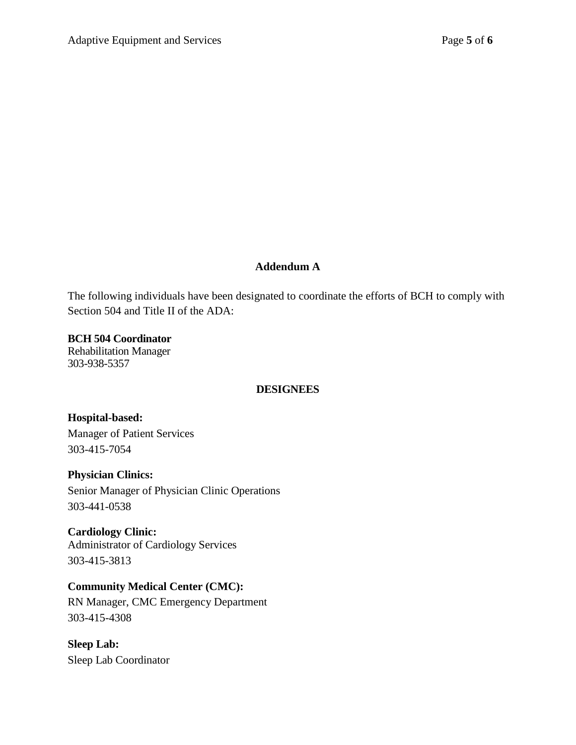# **Addendum A**

The following individuals have been designated to coordinate the efforts of BCH to comply with Section 504 and Title II of the ADA:

**BCH 504 Coordinator** Rehabilitation Manager 303-938-5357

## **DESIGNEES**

#### **Hospital-based:**

Manager of Patient Services 303-415-7054

#### **Physician Clinics:**

Senior Manager of Physician Clinic Operations 303-441-0538

**Cardiology Clinic:** Administrator of Cardiology Services 303-415-3813

## **Community Medical Center (CMC):**

RN Manager, CMC Emergency Department 303-415-4308

**Sleep Lab:** Sleep Lab Coordinator